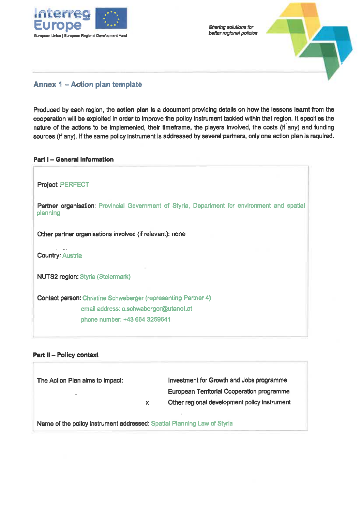

Sharing solutions for better regional policies



# Annex 1 - Action plan template

Produced by each region, the action plan is a document providing details on how the lessons learnt from the cooperation will be exploited in order to improve the policy instrument tackled within that region. It specifies the nature of the actions to be implemented, their timeframe, the playere involved, the costs (if any) and funding sources (if any). If the same policy instrument is addressed by several partners, only one action plan is required.

# Part I - General Information

Project: PERFECT Partner organisation: Provincial Government of Styria, Department for environment and spatial plannlng Other partner organisations involved (if relevant): none Country: Austria NUTS2 region: Styria (Steiermark) Contact person: Christine Schwaberger (representing Partner 4) email address: c.schwaberger@utanet. at phone number: +43 664 3259641

# Part II - Policy context

| The Action Plan aims to impact:                                         |    | Investment for Growth and Jobs programme          |
|-------------------------------------------------------------------------|----|---------------------------------------------------|
|                                                                         |    | <b>European Territorial Cooperation programme</b> |
|                                                                         | x. | Other regional development policy instrument      |
|                                                                         |    |                                                   |
| Name of the nolloy instrument addressed: Spatial Planning Law of Styria |    |                                                   |

Name of the pollcy Instrument addressed: Spatial Planning Law of Styria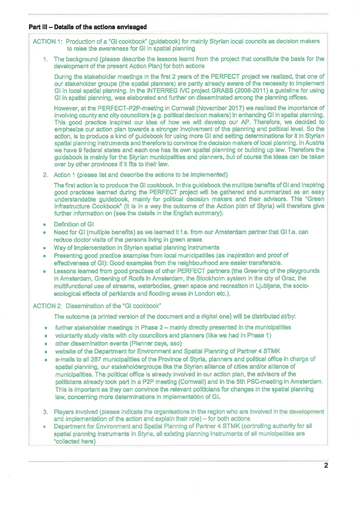## Part III - Details of the actlons envlaaged

ACTION 1: Production of a "GI cookbook" (guidebook) for mainly Styrian local counclls as decision makers to reise the awareness for Gl In spatial planning

1. The background (please describe the lessons learnt from the project that constitute the basis for the development of the present Action Plan) for both actions

During the stakeholder meetings in the first 2 years of the PERFECT project we realized, that one of our stakeholder groups (the spatial plannere) are partly already aware of the necesslty to implement Gl in local spatlal plannlng. In the INTERREG IVC project GRABS (2008-2011) a guideline for using GI in spatial planning, was elaborated and further on disseminated among the planning offices.

However, at the PERFECT-P2P-meeting in Cornwall (November 2017) we realized the importance of involving county and city councillors (e.g. political decision makers) in enhancing GI in spatial planning. This good practice insplred our idea of how we will develop our AP. Therefore, we decided to emphasize our action plan towards a stronger involvement of the planning and political level. So the actlon, Is to produce a kind of guidebook for uslng more Gl and setting determinatlons for It In Styrlan spatial planning instruments and therefore to convince the decision makers of local planning. In Austria we have 9 federal states and each one has its own spatial planning or building up law. Therefore the guidebook is mainly for the Styrian munlclpallties and planners, but of couree the Ideas can be taken aver by other provinces if it fits to thelr law.

2. Action 1 (please llst and describe the actions to be implemented)

The first action is to produce the GI cookbook. In this guidebook the multiple benefits of GI and inspiring good practices learned durlng the PERFECT project will be gathered and summarized äs an easy understandable guldebook, mainly for political decision makers and their advisors. This "Green Infrastructure Cookbook" (it is in a way the outcome of the Actlon plan of Styria) will therefore give further Information on (see the details in the English summary):

- . Definition of GI
- . Need för Gl (multiple beneflts) äs we learned It f.e. from our Amsterdam partner that Gl f.e. can reduce doctor visits of the pereons livlng in green areas.
- . Way of implementatlon In Styrian spatlal planning Instruments
- . Presentlng good practlce examples from local municipalities (äs inspiratlon and proof of effectiveness of Gl): Good examples from the neighbourhood are easier transferable.
- . Lessons leamed from good practises of other PERFECT Partners (the Greening of the playgrounds in Amsterdam, Greening of Roofs In Amsterdam, the Stockholm System In the city of Graz, the multifunctional use of streams, waterbodies, green space and recreation in Ljubljana, the socioecological effects of parklands and flooding areas in London etc.).

## ACTION 2: Dissemination of the "GI cookbook"

The outcome (a printed version of the document and a digital one) will be distributed at/by:

- $\bullet$  further stakeholder meetings in Phase 2 mainly directly presented in the municipalities
- voluntarily study visits with city councillors and planners (like we had in Phase 1)
- . other dlssemlnatlon events (Planner days, aso)
- . website of the Department för Environment and Spatlal Plannlng of Partner 4 STMK
- e-mails to all 287 municipallties of the Province of Styria, planners and political office in charge of spatlal planning, our stakeholdergroups llke the Styrian alliance of cities and/or alllance of municipalities. The political office is already involved in our action plan, the advisors of the politicians already took part in a P2P meeting (Comwall) and in the 5th PSC-meetlng in Amsterdam. This is important as they can convince the relevant politicians for changes in the spatial planning law, concerning more determlnations in implementation of Gl.
- 3. Players involved (please indicate the organisations in the region who are involved in the development and implementation of the action and explain their role)  $-$  for both actions
- . Department för Environment and Spatlal Planning of Partner 4 STMK (controlllng authority for all spatial planning instruments in Styria, all existing planning instruments of all municipalities are 'collected here)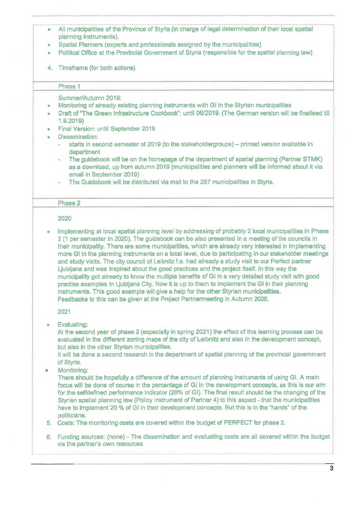- . All municipalities of the Province of Styria (in Charge of legal determination of their local spatial planning instruments).
- Spatial Planners (experts and professionals assigned by the municipalities)
- . Political Office at the Provincial Government of Styria (responsible for the spatial planning law)
- 4. Timeframe (for both actlons)

### Phase 1

#### Summer/Autumn 2019:

- . Monitoring of already existing planning Instruments with Gl in the Styrian municipalities
- . Draft of "The Green Infrastructure Cookbook": until 06/2019. fThe German verslon will be flnallsed 1.9.2019)
- . Final Version: until September 2019
- . Dissemination:
	- starts in second semester of 2019 (to the stakeholdergroups) printed version available in department
	- The guidebook will be on the homepage of the department of spatial planning (Partner STMK) äs a download, up from autumn 2019 (municipalities and planners will be informed about it via email in September 2019)
	- The Guidebook will be distributed via mail to the 287 municipalities in Styria.

#### Phase 2

#### 2020

Implementing at local spatial planning level by addressing of probably 2 local municipalities in Phase 2 (1 per Semester in 2020). The guidebook can be also presented in a meeting of the councils in their municipality. There are some municipalities, which are already very interested in implementing more GI in the planning instruments on a local level, due to participating in our stakeholder meetings and study visits. The city council of Leibnitz f.e. had already a study visit to our Perfect partner Ljubljana and was inspired about the good practices and the project itself. In thls way the municipality got already to know the multiple benefits of Gl in a very detailed study visit with good practise examples in Ljubljana City. Now it is up to them to implement the Gl in their planning Instruments. This good example will give a help for the other Styrian municipalities. Feedbacks to thls can be glven at the Project Partnermeetlng In Autumn 2020.

2021

Evaluating:  $\bullet$ 

At the second year of phase 2 (especially in spring 2021) the effect of this leaming process can be evaluated in the different zoning maps of the city of Leibnitz and also in the development concept, but also in the other Styrian municipalities.

It will be done a second research in the department of spatial planning of the provincial government of Styria.

Monitoring:  $\hat{\mathbf{a}}$ 

There should be hopefully a difference of the amount of planning instruments of using GI. A main focus will be done of course in the percentage of Gl In the development concepts, äs this is our aim for the selfdeflned performance indicator (20% of Gl). The final result should be the changing of the Styrian spatial planning law (Policy Instrument of Partner 4) to this aspect - that the municipalities have to implement 20 % of GI in their development concepts. But this is in the "hands" of the politicians.

5. Costs: The monltorlng costs are covered within the budget of PERFECT for phase 2.

6. Funding sources: (none) - The dissemination and evaluating costs are all covered wlthln the budget via the partner's own resources